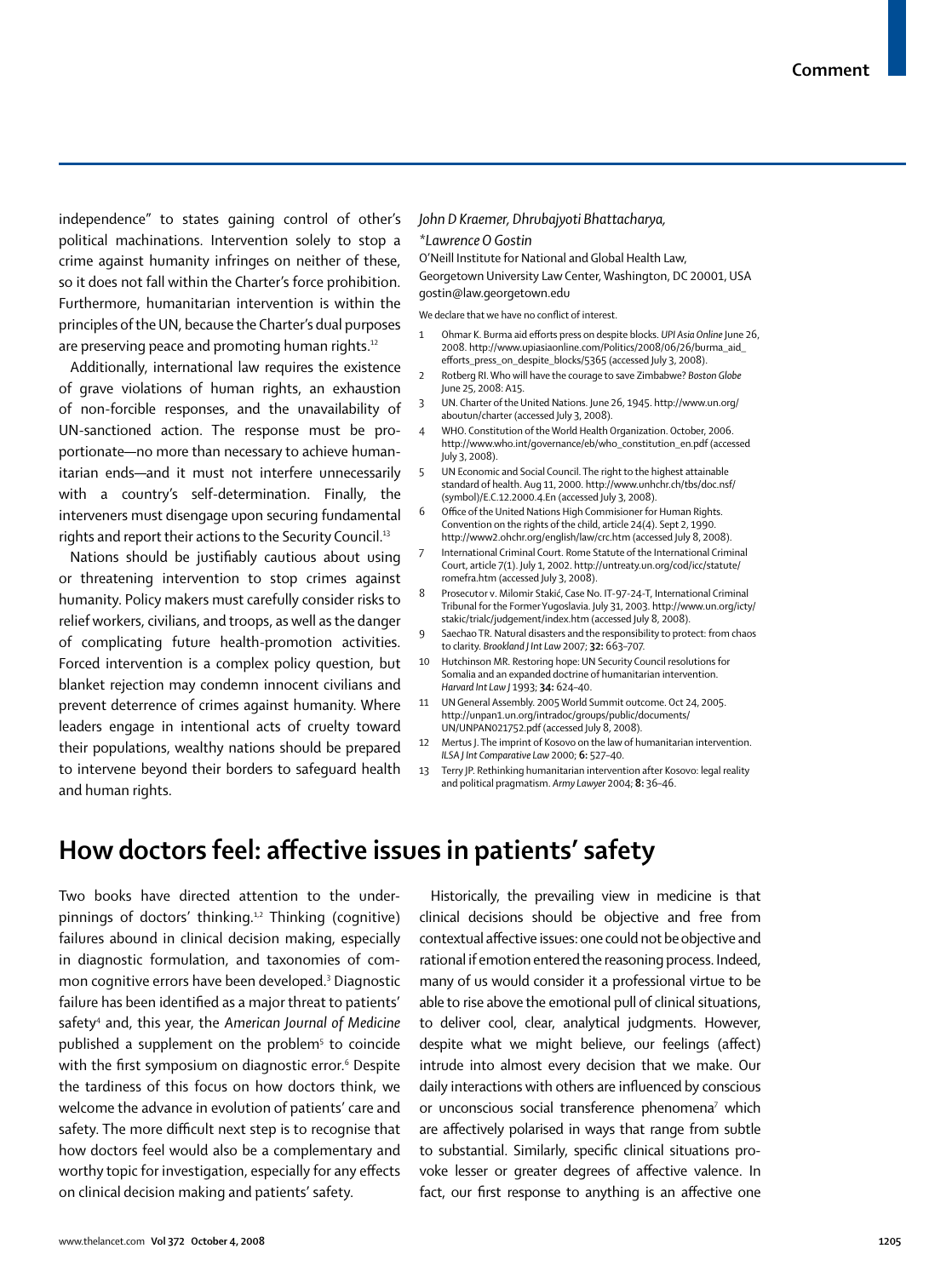independence" to states gaining control of other's political machinations. Intervention solely to stop a crime against humanity infringes on neither of these, so it does not fall within the Charter's force prohibition. Furthermore, humanitarian intervention is within the principles of the UN, because the Charter's dual purposes are preserving peace and promoting human rights.<sup>12</sup>

Additionally, international law requires the existence of grave violations of human rights, an exhaustion of non-forcible responses, and the unavailability of UN-sanctioned action. The response must be proportionate—no more than necessary to achieve humanitarian ends—and it must not interfere unnecessarily with a country's self-determination. Finally, the interveners must disengage upon securing fundamental rights and report their actions to the Security Council.13

Nations should be justifiably cautious about using or threatening intervention to stop crimes against humanity. Policy makers must carefully consider risks to relief workers, civilians, and troops, as well as the danger of complicating future health-promotion activities. Forced intervention is a complex policy question, but blanket rejection may condemn innocent civilians and prevent deterrence of crimes against humanity. Where leaders engage in intentional acts of cruelty toward their populations, wealthy nations should be prepared to intervene beyond their borders to safeguard health and human rights.

## *John D Kraemer, Dhrubajyoti Bhattacharya, \*Lawrence O Gostin*

O'Neill Institute for National and Global Health Law, Georgetown University Law Center, Washington, DC 20001, USA gostin@law.georgetown.edu

We declare that we have no conflict of interest.

- 1 Ohmar K. Burma aid efforts press on despite blocks. *UPI Asia Online* June 26, 2008. http://www.upiasiaonline.com/Politics/2008/06/26/burma\_aid\_ efforts\_press\_on\_despite\_blocks/5365 (accessed July 3, 2008).
- 2 Rotberg RI. Who will have the courage to save Zimbabwe? *Boston Globe* June 25, 2008: A15.
- 3 UN. Charter of the United Nations. June 26, 1945. http://www.un.org/ aboutun/charter (accessed July 3, 2008).
- 4 WHO. Constitution of the World Health Organization. October, 2006. http://www.who.int/governance/eb/who\_constitution\_en.pdf (accessed July 3, 2008).
- UN Economic and Social Council. The right to the highest attainable standard of health. Aug 11, 2000. http://www.unhchr.ch/tbs/doc.nsf/ (symbol)/E.C.12.2000.4.En (accessed July 3, 2008).
- 6 Office of the United Nations High Commisioner for Human Rights. Convention on the rights of the child, article 24(4). Sept 2, 1990. http://www2.ohchr.org/english/law/crc.htm (accessed July 8, 2008).
- International Criminal Court. Rome Statute of the International Criminal Court, article 7(1). July 1, 2002. http://untreaty.un.org/cod/icc/statute/ romefra.htm (accessed July 3, 2008).
- 8 Prosecutor v. Milomir Stakić, Case No. IT-97-24-T, International Criminal Tribunal for the Former Yugoslavia. July 31, 2003. http://www.un.org/icty/ stakic/trialc/judgement/index.htm (accessed July 8, 2008).
- Saechao TR. Natural disasters and the responsibility to protect: from chaos to clarity*. Brookland J Int Law* 2007; **32:** 663–707.
- 10 Hutchinson MR. Restoring hope: UN Security Council resolutions for Somalia and an expanded doctrine of humanitarian intervention. *Harvard Int Law J* 1993; **34:** 624–40.
- 11 UN General Assembly. 2005 World Summit outcome. Oct 24, 2005. http://unpan1.un.org/intradoc/groups/public/documents/ UN/UNPAN021752.pdf (accessed July 8, 2008).
- 12 Mertus J. The imprint of Kosovo on the law of humanitarian intervention. *ILSA J Int Comparative Law* 2000; **6:** 527–40.
- Terry JP. Rethinking humanitarian intervention after Kosovo: legal reality and political pragmatism. *Army Lawyer* 2004; **8:** 36–46.

## How doctors feel: affective issues in patients' safety

Two books have directed attention to the underpinnings of doctors' thinking.<sup>1,2</sup> Thinking (cognitive) failures abound in clinical decision making, especially in diagnostic formulation, and taxonomies of common cognitive errors have been developed.3 Diagnostic failure has been identified as a major threat to patients' safety4 and, this year, the *American Journal of Medicine* published a supplement on the problem $^{\rm 5}$  to coincide with the first symposium on diagnostic error. $^6$  Despite the tardiness of this focus on how doctors think, we welcome the advance in evolution of patients' care and safety. The more difficult next step is to recognise that how doctors feel would also be a complementary and worthy topic for investigation, especially for any effects on clinical decision making and patients' safety.

Historically, the prevailing view in medicine is that clinical decisions should be objective and free from contextual affective issues: one could not be objective and rational if emotion entered the reasoning process. Indeed, many of us would consider it a professional virtue to be able to rise above the emotional pull of clinical situations, to deliver cool, clear, analytical judgments. However, despite what we might believe, our feelings (affect) intrude into almost every decision that we make. Our daily interactions with others are influenced by conscious or unconscious social transference phenomena<sup>7</sup> which are affectively polarised in ways that range from subtle to substantial. Similarly, specific clinical situations provoke lesser or greater degrees of affective valence. In fact, our first response to anything is an affective one